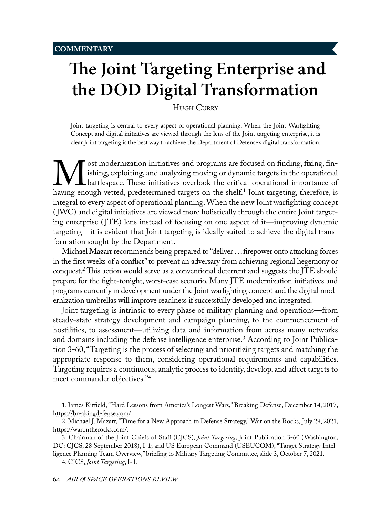# <span id="page-0-0"></span> **The Joint Targeting Enterprise and the DOD Digital Transformation**

HUGH CURRY

Joint targeting is central to every aspect of operational planning. When the Joint Warfighting Concept and digital initiatives are viewed through the lens of the Joint targeting enterprise, it is clear Joint targeting is the best way to achieve the Department of Defense's digital transformation.

**M** ost modernization initiatives and programs are focused on finding, fixing, fin-<br>ishing, exploiting, and analyzing moving or dynamic targets in the operational<br>having enough vetted, predetermined targets on the shelf.<sup>1</sup> ishing, exploiting, and analyzing moving or dynamic targets in the operational battlespace. These initiatives overlook the critical operational importance of having enough vetted, predetermined targets on the shelf.<sup>1</sup> Joint targeting, therefore, is integral to every aspect of operational planning. When the new Joint warfighting concept ( JWC) and digital initiatives are viewed more holistically through the entire Joint targeting enterprise ( JTE) lens instead of focusing on one aspect of it—improving dynamic targeting—it is evident that Joint targeting is ideally suited to achieve the digital transformation sought by the Department.

Michael Mazarr recommends being prepared to "deliver . . . firepower onto attacking forces in the first weeks of a conflict" to prevent an adversary from achieving regional hegemony or conquest.2 This action would serve as a conventional deterrent and suggests the JTE should prepare for the fight-tonight, worst-case scenario. Many JTE modernization initiatives and programs currently in development under the Joint warfighting concept and the digital modernization umbrellas will improve readiness if successfully developed and integrated.

Joint targeting is intrinsic to every phase of military planning and operations—from steady-state strategy development and campaign planning, to the commencement of hostilities, to assessment—utilizing data and information from across many networks and domains including the defense intelligence enterprise.3 According to Joint Publication 3-60, "Targeting is the process of selecting and prioritizing targets and matching the appropriate response to them, considering operational requirements and capabilities. Targeting requires a continuous, analytic process to identify, develop, and affect targets to meet commander objectives."<sup>4</sup>

<sup>1.</sup> James Kitfield, "Hard Lessons from America's Longest Wars," Breaking Defense, December 14, 2017, [https://breakingdefense.com/.](https://breakingdefense.com/2017/12/hard-lessons-from-americas-longest-wars/)

<sup>2.</sup> Michael J. Mazarr, "Time for a New Approach to Defense Strategy," War on the Rocks*,* July 29, 2021, [https://warontherocks.com/.](https://warontherocks.com/2021/07/time-for-a-new-approach-to-defense-strategy)

<sup>3.</sup> Chairman of the Joint Chiefs of Staff (CJCS), *Joint Targeting*, Joint Publication 3-60 (Washington, DC: CJCS, 28 September 2018), I-1; and US European Command (USEUCOM), "Target Strategy Intelligence Planning Team Overview," briefing to Military Targeting Committee, slide 3, October 7, 2021.

<sup>4.</sup> CJCS, *Joint Targeting*, I-1.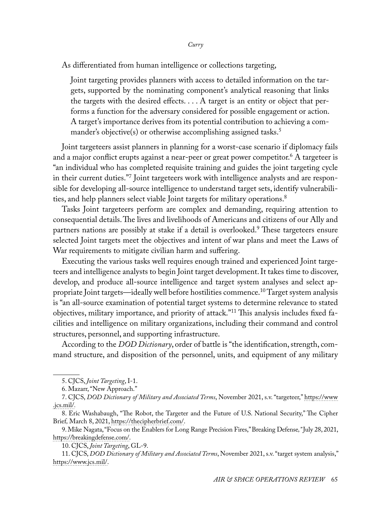As differentiated from human intelligence or collections targeting,

Joint targeting provides planners with access to detailed information on the targets, supported by the nominating component's analytical reasoning that links the targets with the desired effects. . . . A target is an entity or object that performs a function for the adversary considered for possible engagement or action. A target's importance derives from its potential contribution to achieving a commander's objective(s) or otherwise accomplishing assigned tasks.<sup>5</sup>

Joint targeteers assist planners in planning for a worst-case scenario if diplomacy fails and a major conflict erupts against a near-peer or great power competitor. $^6$  A targeteer is "an individual who has completed requisite training and guides the joint targeting cycle in their current duties."<sup>7</sup> Joint targeteers work with intelligence analysts and are responsible for developing all-source intelligence to understand target sets, identify vulnerabilities, and help planners select viable Joint targets for military operations.<sup>8</sup>

Tasks Joint targeteers perform are complex and demanding, requiring attention to consequential details. The lives and livelihoods of Americans and citizens of our Ally and partners nations are possibly at stake if a detail is overlooked.<sup>9</sup> These targeteers ensure selected Joint targets meet the objectives and intent of war plans and meet the Laws of War requirements to mitigate civilian harm and suffering.

Executing the various tasks well requires enough trained and experienced Joint targeteers and intelligence analysts to begin Joint target development. It takes time to discover, develop, and produce all-source intelligence and target system analyses and select appropriate Joint targets—ideally well before hostilities commence.<sup>10</sup> Target system analysis is "an all-source examination of potential target systems to determine relevance to stated objectives, military importance, and priority of attack."11 This analysis includes fixed facilities and intelligence on military organizations, including their command and control structures, personnel, and supporting infrastructure.

According to the *DOD Dictionary*, order of battle is "the identification, strength, command structure, and disposition of the personnel, units, and equipment of any military

<sup>5.</sup> CJCS, *Joint Targeting*, I-1.

<sup>6.</sup> Mazarr, "New Approach."

<sup>7.</sup> CJCS, *DOD Dictionary of Military and Associated Terms*, November 2021, s.v. "targeteer," [https://www](https://www.jcs.mil/Portals/36/Documents/Doctrine/pubs/dictionary.pdf) [.jcs.mil/](https://www.jcs.mil/Portals/36/Documents/Doctrine/pubs/dictionary.pdf)*.*

<sup>8.</sup> Eric Washabaugh, "The Robot, the Targeter and the Future of U.S. National Security," The Cipher Brief*,* March 8, 2021, [https://thecipherbrief.com/.](https://thecipherbrief.com/the-robot-the-targeter-and-the-future-of-u-s-national-security)

<sup>9.</sup> Mike Nagata, "Focus on the Enablers for Long Range Precision Fires," Breaking Defense*,"* July 28, 2021, [https://breakingdefense.com/](https://breakingdefense.com/2021/07/focus-on-the-enablers-for-long-range-precision-fires/).

<sup>10.</sup> CJCS, *Joint Targeting*, GL-9.

<sup>11.</sup> CJCS, *DOD Dictionary of Military and Associated Terms*, November 2021, s.v. "target system analysis," [https://www.jcs.mil/.](https://www.jcs.mil/Portals/36/Documents/Doctrine/pubs/dictionary.pdf)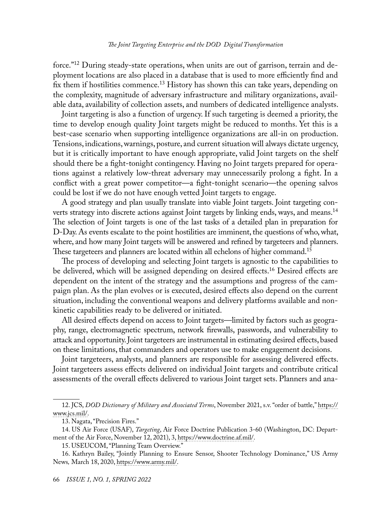## *The Joint Targeting Enterprise and the DOD Digital Transformation*

force."12 During steady-state operations, when units are out of garrison, terrain and deployment locations are also placed in a database that is used to more efficiently find and fix them if hostilities commence.<sup>13</sup> History has shown this can take years, depending on the complexity, magnitude of adversary infrastructure and military organizations, available data, availability of collection assets, and numbers of dedicated intelligence analysts.

Joint targeting is also a function of urgency. If such targeting is deemed a priority, the time to develop enough quality Joint targets might be reduced to months. Yet this is a best-case scenario when supporting intelligence organizations are all-in on production. Tensions, indications, warnings, posture, and current situation will always dictate urgency, but it is critically important to have enough appropriate, valid Joint targets on the shelf should there be a fight-tonight contingency. Having no Joint targets prepared for operations against a relatively low-threat adversary may unnecessarily prolong a fight. In a conflict with a great power competitor—a fight-tonight scenario—the opening salvos could be lost if we do not have enough vetted Joint targets to engage.

A good strategy and plan usually translate into viable Joint targets. Joint targeting converts strategy into discrete actions against Joint targets by linking ends, ways, and means.<sup>14</sup> The selection of Joint targets is one of the last tasks of a detailed plan in preparation for D-Day. As events escalate to the point hostilities are imminent, the questions of who, what, where, and how many Joint targets will be answered and refined by targeteers and planners. These targeteers and planners are located within all echelons of higher command.<sup>15</sup>

The process of developing and selecting Joint targets is agnostic to the capabilities to be delivered, which will be assigned depending on desired effects.16 Desired effects are dependent on the intent of the strategy and the assumptions and progress of the campaign plan. As the plan evolves or is executed, desired effects also depend on the current situation, including the conventional weapons and delivery platforms available and nonkinetic capabilities ready to be delivered or initiated.

All desired effects depend on access to Joint targets—limited by factors such as geography, range, electromagnetic spectrum, network firewalls, passwords, and vulnerability to attack and opportunity. Joint targeteers are instrumental in estimating desired effects, based on these limitations, that commanders and operators use to make engagement decisions.

Joint targeteers, analysts, and planners are responsible for assessing delivered effects. Joint targeteers assess effects delivered on individual Joint targets and contribute critical assessments of the overall effects delivered to various Joint target sets. Planners and ana-

<sup>12.</sup> JCS, *DOD Dictionary of Military and Associated Terms*, November 2021, s.v. "order of battle," [https://](https://www.jcs.mil/Portals/36/Documents/Doctrine/pubs/dictionary.pdf) [www.jcs.mil/.](https://www.jcs.mil/Portals/36/Documents/Doctrine/pubs/dictionary.pdf)

<sup>13.</sup> Nagata, "Precision Fires."

<sup>14.</sup> US Air Force (USAF), *Targeting*, Air Force Doctrine Publication 3-60 (Washington, DC: Department of the Air Force, November 12, 2021), 3, [https://www.doctrine.af.mil/.](https://www.doctrine.af.mil/Portals/61/documents/AFDP_3-60/3-60-AFDP-TARGETING.pdf)

<sup>15.</sup> USEUCOM, "Planning Team Overview."

<sup>16.</sup> Kathryn Bailey, "Jointly Planning to Ensure Sensor, Shooter Technology Dominance," US Army News*,* March 18, 2020, [https://www.army.mil/](https://www.army.mil/article/233762/jointly_planning_to_ensure_sensor_shooter_technology_dominance).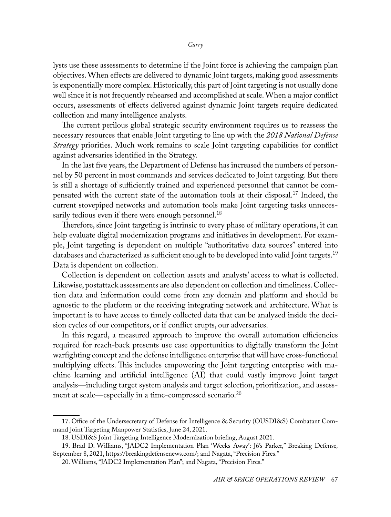lysts use these assessments to determine if the Joint force is achieving the campaign plan objectives. When effects are delivered to dynamic Joint targets, making good assessments is exponentially more complex. Historically, this part of Joint targeting is not usually done well since it is not frequently rehearsed and accomplished at scale. When a major conflict occurs, assessments of effects delivered against dynamic Joint targets require dedicated collection and many intelligence analysts.

The current perilous global strategic security environment requires us to reassess the necessary resources that enable Joint targeting to line up with the *2018 National Defense Strategy* priorities. Much work remains to scale Joint targeting capabilities for conflict against adversaries identified in the Strategy.

In the last five years, the Department of Defense has increased the numbers of personnel by 50 percent in most commands and services dedicated to Joint targeting. But there is still a shortage of sufficiently trained and experienced personnel that cannot be compensated with the current state of the automation tools at their disposal.17 Indeed, the current stovepiped networks and automation tools make Joint targeting tasks unnecessarily tedious even if there were enough personnel.<sup>18</sup>

Therefore, since Joint targeting is intrinsic to every phase of military operations, it can help evaluate digital modernization programs and initiatives in development. For example, Joint targeting is dependent on multiple "authoritative data sources" entered into databases and characterized as sufficient enough to be developed into valid Joint targets.<sup>19</sup> Data is dependent on collection.

Collection is dependent on collection assets and analysts' access to what is collected. Likewise, postattack assessments are also dependent on collection and timeliness. Collection data and information could come from any domain and platform and should be agnostic to the platform or the receiving integrating network and architecture. What is important is to have access to timely collected data that can be analyzed inside the decision cycles of our competitors, or if conflict erupts, our adversaries.

In this regard, a measured approach to improve the overall automation efficiencies required for reach-back presents use case opportunities to digitally transform the Joint warfighting concept and the defense intelligence enterprise that will have cross-functional multiplying effects. This includes empowering the Joint targeting enterprise with machine learning and artificial intelligence (AI) that could vastly improve Joint target analysis—including target system analysis and target selection, prioritization, and assessment at scale—especially in a time-compressed scenario.<sup>20</sup>

<sup>17.</sup> Office of the Undersecretary of Defense for Intelligence & Security (OUSDI&S) Combatant Command Joint Targeting Manpower Statistics, June 24, 2021.

<sup>18.</sup> USDI&S Joint Targeting Intelligence Modernization briefing, August 2021.

<sup>19.</sup> Brad D. Williams, "JADC2 Implementation Plan 'Weeks Away': J6's Parker," Breaking Defense*,*  September 8, 2021, [https://breakingdefensenews.com/;](https://breakingdefensenews.com/2021/09/jadc2-implementation-plan-weeks-away-j6s-parker) and Nagata, "Precision Fires."

<sup>20.</sup> Williams, "JADC2 Implementation Plan"; and Nagata, "Precision Fires."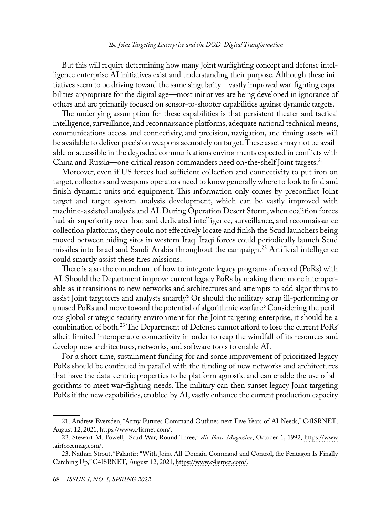## *The Joint Targeting Enterprise and the DOD Digital Transformation*

But this will require determining how many Joint warfighting concept and defense intelligence enterprise AI initiatives exist and understanding their purpose. Although these initiatives seem to be driving toward the same singularity—vastly improved war-fighting capabilities appropriate for the digital age—most initiatives are being developed in ignorance of others and are primarily focused on sensor-to-shooter capabilities against dynamic targets.

The underlying assumption for these capabilities is that persistent theater and tactical intelligence, surveillance, and reconnaissance platforms, adequate national technical means, communications access and connectivity, and precision, navigation, and timing assets will be available to deliver precision weapons accurately on target. These assets may not be available or accessible in the degraded communications environments expected in conflicts with China and Russia—one critical reason commanders need on-the-shelf Joint targets.<sup>21</sup>

Moreover, even if US forces had sufficient collection and connectivity to put iron on target, collectors and weapons operators need to know generally where to look to find and finish dynamic units and equipment. This information only comes by preconflict Joint target and target system analysis development, which can be vastly improved with machine-assisted analysis and AI. During Operation Desert Storm, when coalition forces had air superiority over Iraq and dedicated intelligence, surveillance, and reconnaissance collection platforms, they could not effectively locate and finish the Scud launchers being moved between hiding sites in western Iraq. Iraqi forces could periodically launch Scud missiles into Israel and Saudi Arabia throughout the campaign.<sup>22</sup> Artificial intelligence could smartly assist these fires missions.

There is also the conundrum of how to integrate legacy programs of record (PoRs) with AI. Should the Department improve current legacy PoRs by making them more interoperable as it transitions to new networks and architectures and attempts to add algorithms to assist Joint targeteers and analysts smartly? Or should the military scrap ill-performing or unused PoRs and move toward the potential of algorithmic warfare? Considering the perilous global strategic security environment for the Joint targeting enterprise, it should be a combination of both.23 The Department of Defense cannot afford to lose the current PoRs' albeit limited interoperable connectivity in order to reap the windfall of its resources and develop new architectures, networks, and software tools to enable AI.

For a short time, sustainment funding for and some improvement of prioritized legacy PoRs should be continued in parallel with the funding of new networks and architectures that have the data-centric properties to be platform agnostic and can enable the use of algorithms to meet war-fighting needs. The military can then sunset legacy Joint targeting PoRs if the new capabilities, enabled by AI, vastly enhance the current production capacity

<sup>21.</sup> Andrew Eversden, "Army Futures Command Outlines next Five Years of AI Needs," C4ISRNET*,*  August 12, 2021, [https://www.c4isrnet.com/.](https://www.c4isrnet.com/artificial-intelligence/2021/08/12/army-futures-command-outlines-next-five-years-of-ai-needs)

<sup>22.</sup> [Stewart M. Powell](https://www.airforcemag.com/person/stewart-m-powell/), "Scud War, Round Three," *Air Force Magazine*, October 1, 1992, [https://www](https://www.airforcemag.com/article/1092scud/) [.airforcemag.com/.](https://www.airforcemag.com/article/1092scud/)

<sup>23.</sup> Nathan Strout, "Palantir: "With Joint All-Domain Command and Control, the Pentagon Is Finally Catching Up," C4ISRNET*,* August 12, 2021, [https://www.c4isrnet.com/.](https://www.c4isrnet.com/industry/2021/08/12/palantir-with-joint-all-domain-command-and-control-the-pentagon-is-finally-catching-up)